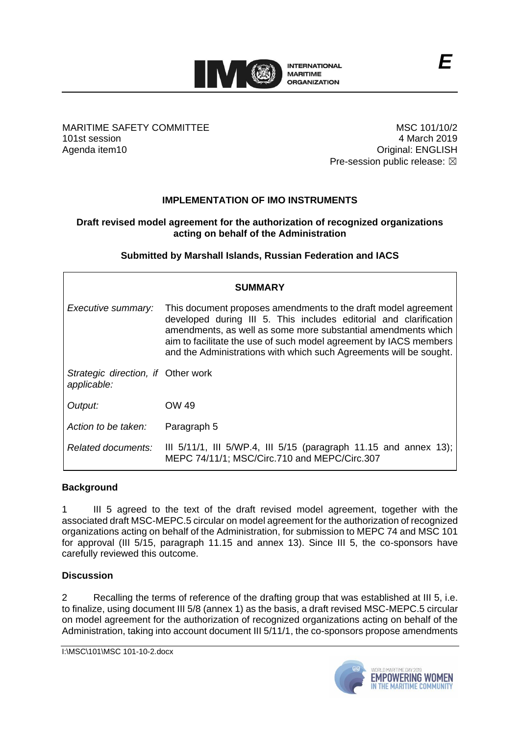

MARITIME SAFETY COMMITTEE 101st session Agenda item10

MSC 101/10/2 4 March 2019 Original: ENGLISH Pre-session public release:  $\boxtimes$ 

# **IMPLEMENTATION OF IMO INSTRUMENTS**

## **Draft revised model agreement for the authorization of recognized organizations acting on behalf of the Administration**

## **Submitted by Marshall Islands, Russian Federation and IACS**

| <b>SUMMARY</b>                                    |                                                                                                                                                                                                                                                                                                                                                 |
|---------------------------------------------------|-------------------------------------------------------------------------------------------------------------------------------------------------------------------------------------------------------------------------------------------------------------------------------------------------------------------------------------------------|
| Executive summary:                                | This document proposes amendments to the draft model agreement<br>developed during III 5. This includes editorial and clarification<br>amendments, as well as some more substantial amendments which<br>aim to facilitate the use of such model agreement by IACS members<br>and the Administrations with which such Agreements will be sought. |
| Strategic direction, if Other work<br>applicable: |                                                                                                                                                                                                                                                                                                                                                 |
| Output:                                           | OW 49                                                                                                                                                                                                                                                                                                                                           |
| Action to be taken:                               | Paragraph 5                                                                                                                                                                                                                                                                                                                                     |
| Related documents:                                | III $5/11/1$ , III $5/WP.4$ , III $5/15$ (paragraph 11.15 and annex 13);<br>MEPC 74/11/1; MSC/Circ.710 and MEPC/Circ.307                                                                                                                                                                                                                        |

## **Background**

1 III 5 agreed to the text of the draft revised model agreement, together with the associated draft MSC-MEPC.5 circular on model agreement for the authorization of recognized organizations acting on behalf of the Administration, for submission to MEPC 74 and MSC 101 for approval (III 5/15, paragraph 11.15 and annex 13). Since III 5, the co-sponsors have carefully reviewed this outcome.

## **Discussion**

2 Recalling the terms of reference of the drafting group that was established at III 5, i.e. to finalize, using document III 5/8 (annex 1) as the basis, a draft revised MSC-MEPC.5 circular on model agreement for the authorization of recognized organizations acting on behalf of the Administration, taking into account document III 5/11/1, the co-sponsors propose amendments

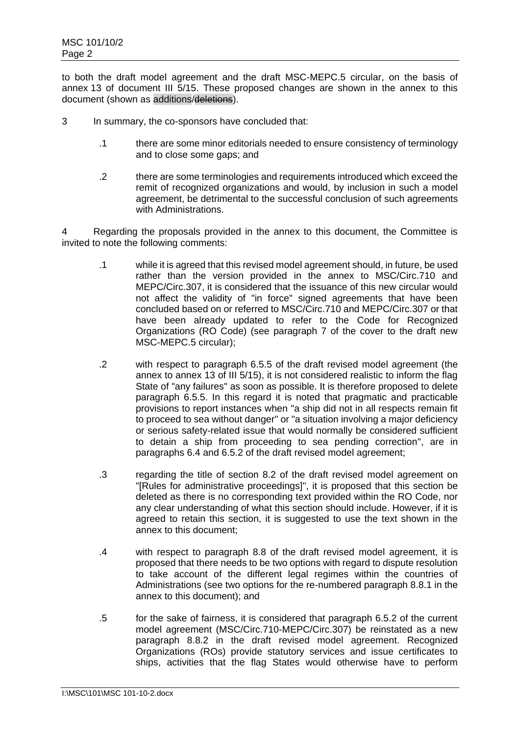to both the draft model agreement and the draft MSC-MEPC.5 circular, on the basis of annex 13 of document III 5/15. These proposed changes are shown in the annex to this document (shown as additions/deletions).

- 3 In summary, the co-sponsors have concluded that:
	- .1 there are some minor editorials needed to ensure consistency of terminology and to close some gaps; and
	- .2 there are some terminologies and requirements introduced which exceed the remit of recognized organizations and would, by inclusion in such a model agreement, be detrimental to the successful conclusion of such agreements with Administrations.

4 Regarding the proposals provided in the annex to this document, the Committee is invited to note the following comments:

- .1 while it is agreed that this revised model agreement should, in future, be used rather than the version provided in the annex to MSC/Circ.710 and MEPC/Circ.307, it is considered that the issuance of this new circular would not affect the validity of "in force" signed agreements that have been concluded based on or referred to MSC/Circ.710 and MEPC/Circ.307 or that have been already updated to refer to the Code for Recognized Organizations (RO Code) (see paragraph 7 of the cover to the draft new MSC-MEPC.5 circular);
- .2 with respect to paragraph 6.5.5 of the draft revised model agreement (the annex to annex 13 of III 5/15), it is not considered realistic to inform the flag State of "any failures" as soon as possible. It is therefore proposed to delete paragraph 6.5.5. In this regard it is noted that pragmatic and practicable provisions to report instances when "a ship did not in all respects remain fit to proceed to sea without danger" or "a situation involving a major deficiency or serious safety-related issue that would normally be considered sufficient to detain a ship from proceeding to sea pending correction", are in paragraphs 6.4 and 6.5.2 of the draft revised model agreement;
- .3 regarding the title of section 8.2 of the draft revised model agreement on "[Rules for administrative proceedings]", it is proposed that this section be deleted as there is no corresponding text provided within the RO Code, nor any clear understanding of what this section should include. However, if it is agreed to retain this section, it is suggested to use the text shown in the annex to this document;
- .4 with respect to paragraph 8.8 of the draft revised model agreement, it is proposed that there needs to be two options with regard to dispute resolution to take account of the different legal regimes within the countries of Administrations (see two options for the re-numbered paragraph 8.8.1 in the annex to this document); and
- .5 for the sake of fairness, it is considered that paragraph 6.5.2 of the current model agreement (MSC/Circ.710-MEPC/Circ.307) be reinstated as a new paragraph 8.8.2 in the draft revised model agreement. Recognized Organizations (ROs) provide statutory services and issue certificates to ships, activities that the flag States would otherwise have to perform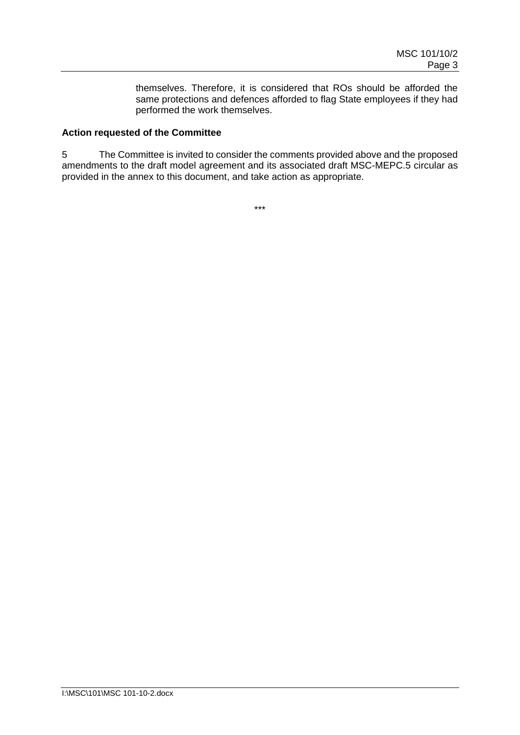themselves. Therefore, it is considered that ROs should be afforded the same protections and defences afforded to flag State employees if they had performed the work themselves.

## **Action requested of the Committee**

5 The Committee is invited to consider the comments provided above and the proposed amendments to the draft model agreement and its associated draft MSC-MEPC.5 circular as provided in the annex to this document, and take action as appropriate.

\*\*\*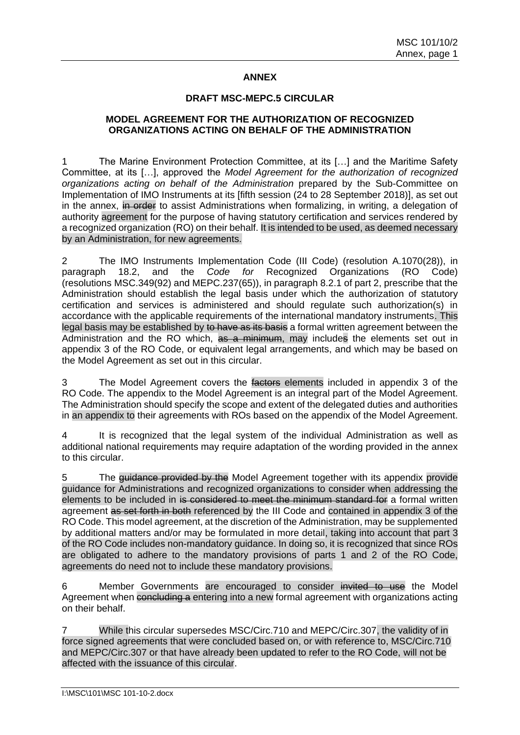## **ANNEX**

## **DRAFT MSC-MEPC.5 CIRCULAR**

### **MODEL AGREEMENT FOR THE AUTHORIZATION OF RECOGNIZED ORGANIZATIONS ACTING ON BEHALF OF THE ADMINISTRATION**

1 The Marine Environment Protection Committee, at its […] and the Maritime Safety Committee, at its […], approved the *Model Agreement for the authorization of recognized organizations acting on behalf of the Administration* prepared by the Sub-Committee on Implementation of IMO Instruments at its [fifth session (24 to 28 September 2018)], as set out in the annex, in order to assist Administrations when formalizing, in writing, a delegation of authority agreement for the purpose of having statutory certification and services rendered by a recognized organization (RO) on their behalf. It is intended to be used, as deemed necessary by an Administration, for new agreements.

2 The IMO Instruments Implementation Code (III Code) (resolution A.1070(28)), in paragraph 18.2, and the *Code for* Recognized Organizations (RO Code) (resolutions MSC.349(92) and MEPC.237(65)), in paragraph 8.2.1 of part 2, prescribe that the Administration should establish the legal basis under which the authorization of statutory certification and services is administered and should regulate such authorization(s) in accordance with the applicable requirements of the international mandatory instruments. This legal basis may be established by to have as its basis a formal written agreement between the Administration and the RO which, as a minimum, may includes the elements set out in appendix 3 of the RO Code, or equivalent legal arrangements, and which may be based on the Model Agreement as set out in this circular.

3 The Model Agreement covers the factors elements included in appendix 3 of the RO Code. The appendix to the Model Agreement is an integral part of the Model Agreement. The Administration should specify the scope and extent of the delegated duties and authorities in an appendix to their agreements with ROs based on the appendix of the Model Agreement.

4 It is recognized that the legal system of the individual Administration as well as additional national requirements may require adaptation of the wording provided in the annex to this circular.

5 The *quidance provided by the Model Agreement together with its appendix provide* guidance for Administrations and recognized organizations to consider when addressing the elements to be included in is considered to meet the minimum standard for a formal written agreement as set forth in both referenced by the III Code and contained in appendix 3 of the RO Code. This model agreement, at the discretion of the Administration, may be supplemented by additional matters and/or may be formulated in more detail, taking into account that part 3 of the RO Code includes non-mandatory guidance. In doing so, it is recognized that since ROs are obligated to adhere to the mandatory provisions of parts 1 and 2 of the RO Code, agreements do need not to include these mandatory provisions.

6 Member Governments are encouraged to consider invited to use the Model Agreement when concluding a entering into a new formal agreement with organizations acting on their behalf.

7 While this circular supersedes MSC/Circ.710 and MEPC/Circ.307, the validity of in force signed agreements that were concluded based on, or with reference to, MSC/Circ.710 and MEPC/Circ.307 or that have already been updated to refer to the RO Code, will not be affected with the issuance of this circular.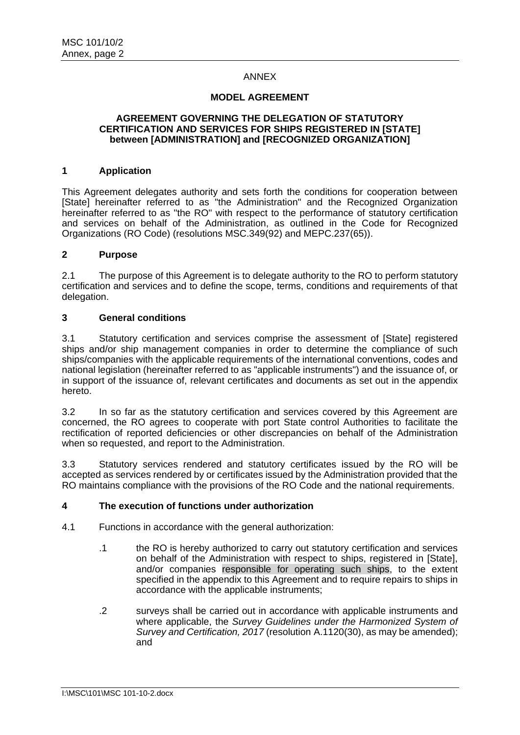## ANNEX

### **MODEL AGREEMENT**

#### **AGREEMENT GOVERNING THE DELEGATION OF STATUTORY CERTIFICATION AND SERVICES FOR SHIPS REGISTERED IN [STATE] between [ADMINISTRATION] and [RECOGNIZED ORGANIZATION]**

### **1 Application**

This Agreement delegates authority and sets forth the conditions for cooperation between [State] hereinafter referred to as "the Administration" and the Recognized Organization hereinafter referred to as "the RO" with respect to the performance of statutory certification and services on behalf of the Administration, as outlined in the Code for Recognized Organizations (RO Code) (resolutions MSC.349(92) and MEPC.237(65)).

## **2 Purpose**

2.1 The purpose of this Agreement is to delegate authority to the RO to perform statutory certification and services and to define the scope, terms, conditions and requirements of that delegation.

## **3 General conditions**

3.1 Statutory certification and services comprise the assessment of [State] registered ships and/or ship management companies in order to determine the compliance of such ships/companies with the applicable requirements of the international conventions, codes and national legislation (hereinafter referred to as "applicable instruments") and the issuance of, or in support of the issuance of, relevant certificates and documents as set out in the appendix hereto.

3.2 In so far as the statutory certification and services covered by this Agreement are concerned, the RO agrees to cooperate with port State control Authorities to facilitate the rectification of reported deficiencies or other discrepancies on behalf of the Administration when so requested, and report to the Administration.

3.3 Statutory services rendered and statutory certificates issued by the RO will be accepted as services rendered by or certificates issued by the Administration provided that the RO maintains compliance with the provisions of the RO Code and the national requirements.

## **4 The execution of functions under authorization**

- 4.1 Functions in accordance with the general authorization:
	- .1 the RO is hereby authorized to carry out statutory certification and services on behalf of the Administration with respect to ships, registered in [State], and/or companies responsible for operating such ships, to the extent specified in the appendix to this Agreement and to require repairs to ships in accordance with the applicable instruments;
	- .2 surveys shall be carried out in accordance with applicable instruments and where applicable, the *Survey Guidelines under the Harmonized System of Survey and Certification, 2017* (resolution A.1120(30), as may be amended); and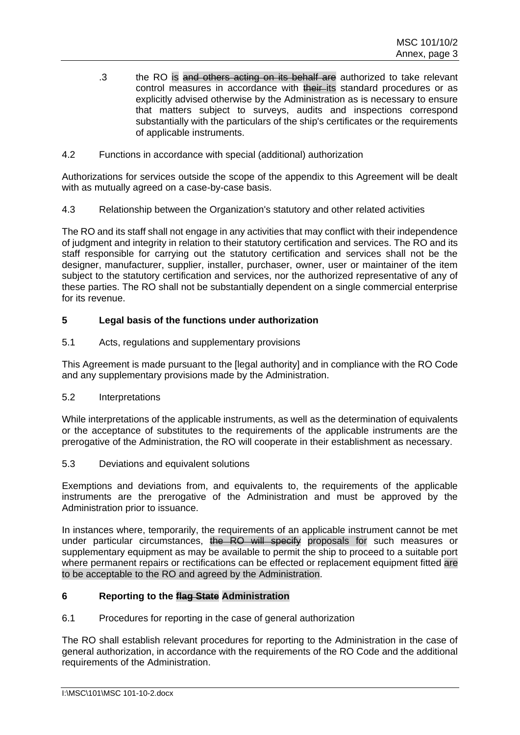- .3 the RO is and others acting on its behalf are authorized to take relevant control measures in accordance with their its standard procedures or as explicitly advised otherwise by the Administration as is necessary to ensure that matters subject to surveys, audits and inspections correspond substantially with the particulars of the ship's certificates or the requirements of applicable instruments.
- 4.2 Functions in accordance with special (additional) authorization

Authorizations for services outside the scope of the appendix to this Agreement will be dealt with as mutually agreed on a case-by-case basis.

4.3 Relationship between the Organization's statutory and other related activities

The RO and its staff shall not engage in any activities that may conflict with their independence of judgment and integrity in relation to their statutory certification and services. The RO and its staff responsible for carrying out the statutory certification and services shall not be the designer, manufacturer, supplier, installer, purchaser, owner, user or maintainer of the item subject to the statutory certification and services, nor the authorized representative of any of these parties. The RO shall not be substantially dependent on a single commercial enterprise for its revenue.

## **5 Legal basis of the functions under authorization**

5.1 Acts, regulations and supplementary provisions

This Agreement is made pursuant to the [legal authority] and in compliance with the RO Code and any supplementary provisions made by the Administration.

5.2 Interpretations

While interpretations of the applicable instruments, as well as the determination of equivalents or the acceptance of substitutes to the requirements of the applicable instruments are the prerogative of the Administration, the RO will cooperate in their establishment as necessary.

5.3 Deviations and equivalent solutions

Exemptions and deviations from, and equivalents to, the requirements of the applicable instruments are the prerogative of the Administration and must be approved by the Administration prior to issuance.

In instances where, temporarily, the requirements of an applicable instrument cannot be met under particular circumstances, the RO will specify proposals for such measures or supplementary equipment as may be available to permit the ship to proceed to a suitable port where permanent repairs or rectifications can be effected or replacement equipment fitted are to be acceptable to the RO and agreed by the Administration.

## **6 Reporting to the flag State Administration**

6.1 Procedures for reporting in the case of general authorization

The RO shall establish relevant procedures for reporting to the Administration in the case of general authorization, in accordance with the requirements of the RO Code and the additional requirements of the Administration.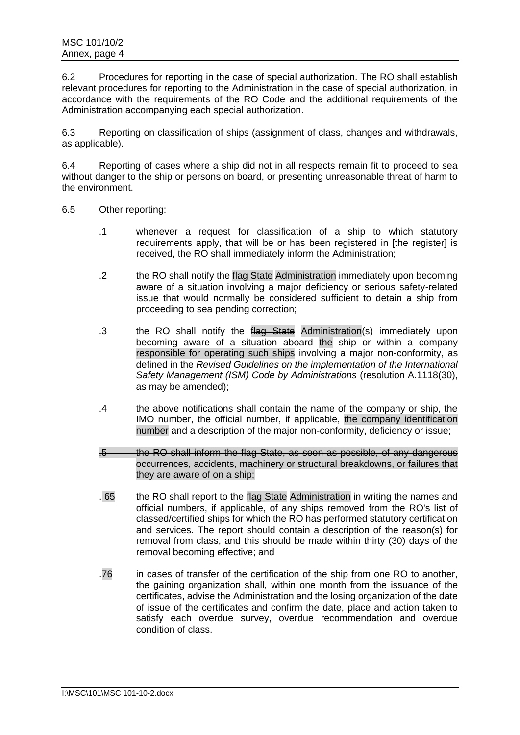6.2 Procedures for reporting in the case of special authorization. The RO shall establish relevant procedures for reporting to the Administration in the case of special authorization, in accordance with the requirements of the RO Code and the additional requirements of the Administration accompanying each special authorization.

6.3 Reporting on classification of ships (assignment of class, changes and withdrawals, as applicable).

6.4 Reporting of cases where a ship did not in all respects remain fit to proceed to sea without danger to the ship or persons on board, or presenting unreasonable threat of harm to the environment.

- 6.5 Other reporting:
	- .1 whenever a request for classification of a ship to which statutory requirements apply, that will be or has been registered in [the register] is received, the RO shall immediately inform the Administration;
	- .2 the RO shall notify the flag State Administration immediately upon becoming aware of a situation involving a major deficiency or serious safety-related issue that would normally be considered sufficient to detain a ship from proceeding to sea pending correction;
	- .3 the RO shall notify the flag State Administration(s) immediately upon becoming aware of a situation aboard the ship or within a company responsible for operating such ships involving a major non-conformity, as defined in the *Revised Guidelines on the implementation of the International Safety Management (ISM) Code by Administrations* (resolution A.1118(30), as may be amended);
	- .4 the above notifications shall contain the name of the company or ship, the IMO number, the official number, if applicable, the company identification number and a description of the major non-conformity, deficiency or issue;
	- .5 the RO shall inform the flag State, as soon as possible, of any dangerous occurrences, accidents, machinery or structural breakdowns, or failures that they are aware of on a ship;
	- . 65 the RO shall report to the flag State Administration in writing the names and official numbers, if applicable, of any ships removed from the RO's list of classed/certified ships for which the RO has performed statutory certification and services. The report should contain a description of the reason(s) for removal from class, and this should be made within thirty (30) days of the removal becoming effective; and
	- .76 in cases of transfer of the certification of the ship from one RO to another, the gaining organization shall, within one month from the issuance of the certificates, advise the Administration and the losing organization of the date of issue of the certificates and confirm the date, place and action taken to satisfy each overdue survey, overdue recommendation and overdue condition of class.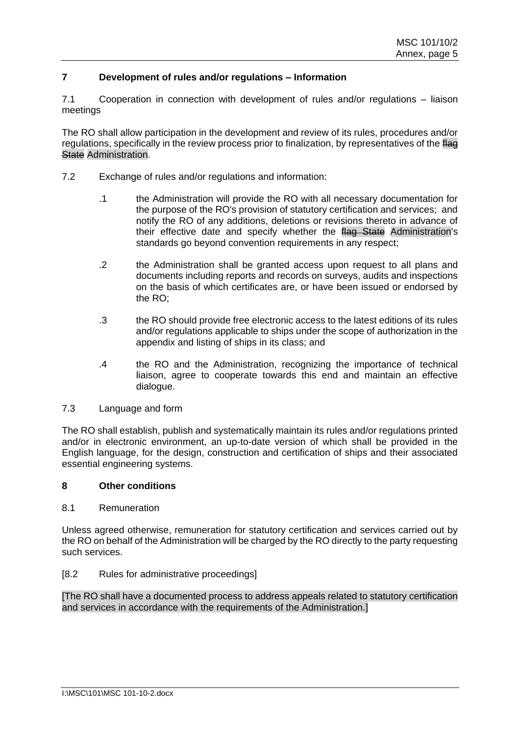## **7 Development of rules and/or regulations – Information**

7.1 Cooperation in connection with development of rules and/or regulations – liaison meetings

The RO shall allow participation in the development and review of its rules, procedures and/or regulations, specifically in the review process prior to finalization, by representatives of the flag **State Administration.** 

- 7.2 Exchange of rules and/or regulations and information:
	- .1 the Administration will provide the RO with all necessary documentation for the purpose of the RO's provision of statutory certification and services; and notify the RO of any additions, deletions or revisions thereto in advance of their effective date and specify whether the flag State Administration's standards go beyond convention requirements in any respect;
	- .2 the Administration shall be granted access upon request to all plans and documents including reports and records on surveys, audits and inspections on the basis of which certificates are, or have been issued or endorsed by the RO;
	- .3 the RO should provide free electronic access to the latest editions of its rules and/or regulations applicable to ships under the scope of authorization in the appendix and listing of ships in its class; and
	- .4 the RO and the Administration, recognizing the importance of technical liaison, agree to cooperate towards this end and maintain an effective dialogue.
- 7.3 Language and form

The RO shall establish, publish and systematically maintain its rules and/or regulations printed and/or in electronic environment, an up-to-date version of which shall be provided in the English language, for the design, construction and certification of ships and their associated essential engineering systems.

## **8 Other conditions**

### 8.1 Remuneration

Unless agreed otherwise, remuneration for statutory certification and services carried out by the RO on behalf of the Administration will be charged by the RO directly to the party requesting such services.

### [8.2 Rules for administrative proceedings]

[The RO shall have a documented process to address appeals related to statutory certification and services in accordance with the requirements of the Administration.]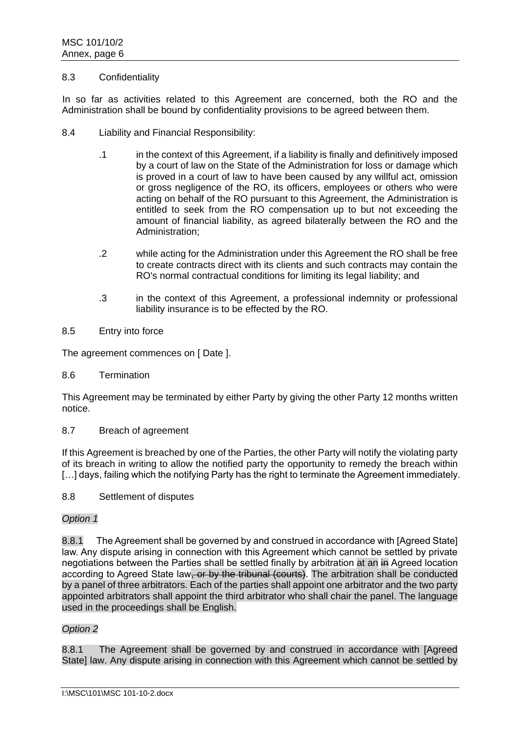### 8.3 Confidentiality

In so far as activities related to this Agreement are concerned, both the RO and the Administration shall be bound by confidentiality provisions to be agreed between them.

- 8.4 Liability and Financial Responsibility:
	- .1 in the context of this Agreement, if a liability is finally and definitively imposed by a court of law on the State of the Administration for loss or damage which is proved in a court of law to have been caused by any willful act, omission or gross negligence of the RO, its officers, employees or others who were acting on behalf of the RO pursuant to this Agreement, the Administration is entitled to seek from the RO compensation up to but not exceeding the amount of financial liability, as agreed bilaterally between the RO and the Administration;
	- .2 while acting for the Administration under this Agreement the RO shall be free to create contracts direct with its clients and such contracts may contain the RO's normal contractual conditions for limiting its legal liability; and
	- .3 in the context of this Agreement, a professional indemnity or professional liability insurance is to be effected by the RO.
- 8.5 Entry into force

The agreement commences on [ Date ].

8.6 Termination

This Agreement may be terminated by either Party by giving the other Party 12 months written notice.

## 8.7 Breach of agreement

If this Agreement is breached by one of the Parties, the other Party will notify the violating party of its breach in writing to allow the notified party the opportunity to remedy the breach within [...] days, failing which the notifying Party has the right to terminate the Agreement immediately.

8.8 Settlement of disputes

## *Option 1*

8.8.1 The Agreement shall be governed by and construed in accordance with [Agreed State] law. Any dispute arising in connection with this Agreement which cannot be settled by private negotiations between the Parties shall be settled finally by arbitration at an in Agreed location according to Agreed State law, or by the tribunal (courts). The arbitration shall be conducted by a panel of three arbitrators. Each of the parties shall appoint one arbitrator and the two party appointed arbitrators shall appoint the third arbitrator who shall chair the panel. The language used in the proceedings shall be English.

### *Option 2*

8.8.1 The Agreement shall be governed by and construed in accordance with [Agreed State] law. Any dispute arising in connection with this Agreement which cannot be settled by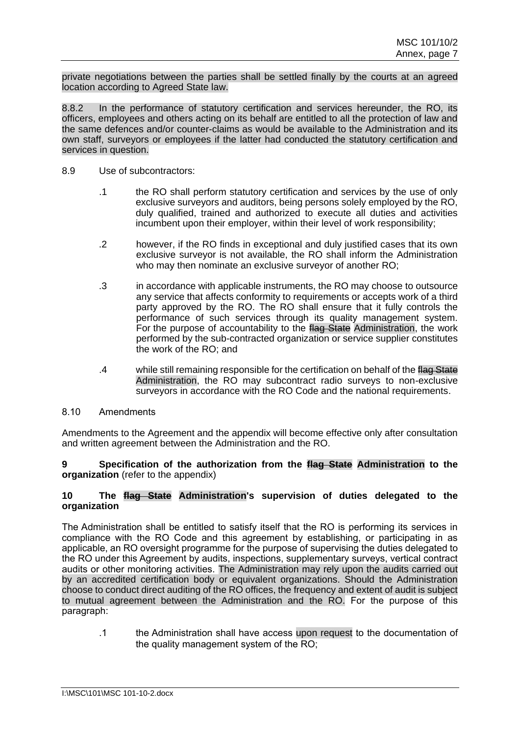private negotiations between the parties shall be settled finally by the courts at an agreed location according to Agreed State law.

8.8.2 In the performance of statutory certification and services hereunder, the RO, its officers, employees and others acting on its behalf are entitled to all the protection of law and the same defences and/or counter-claims as would be available to the Administration and its own staff, surveyors or employees if the latter had conducted the statutory certification and services in question.

- 8.9 Use of subcontractors:
	- .1 the RO shall perform statutory certification and services by the use of only exclusive surveyors and auditors, being persons solely employed by the RO, duly qualified, trained and authorized to execute all duties and activities incumbent upon their employer, within their level of work responsibility;
	- .2 however, if the RO finds in exceptional and duly justified cases that its own exclusive surveyor is not available, the RO shall inform the Administration who may then nominate an exclusive surveyor of another RO;
	- .3 in accordance with applicable instruments, the RO may choose to outsource any service that affects conformity to requirements or accepts work of a third party approved by the RO. The RO shall ensure that it fully controls the performance of such services through its quality management system. For the purpose of accountability to the flag State Administration, the work performed by the sub-contracted organization or service supplier constitutes the work of the RO; and
	- .4 while still remaining responsible for the certification on behalf of the flag State Administration, the RO may subcontract radio surveys to non-exclusive surveyors in accordance with the RO Code and the national requirements.

### 8.10 Amendments

Amendments to the Agreement and the appendix will become effective only after consultation and written agreement between the Administration and the RO.

**9 Specification of the authorization from the flag State Administration to the organization** (refer to the appendix)

### **10 The flag State Administration's supervision of duties delegated to the organization**

The Administration shall be entitled to satisfy itself that the RO is performing its services in compliance with the RO Code and this agreement by establishing, or participating in as applicable, an RO oversight programme for the purpose of supervising the duties delegated to the RO under this Agreement by audits, inspections, supplementary surveys, vertical contract audits or other monitoring activities. The Administration may rely upon the audits carried out by an accredited certification body or equivalent organizations. Should the Administration choose to conduct direct auditing of the RO offices, the frequency and extent of audit is subject to mutual agreement between the Administration and the RO. For the purpose of this paragraph:

.1 the Administration shall have access upon request to the documentation of the quality management system of the RO;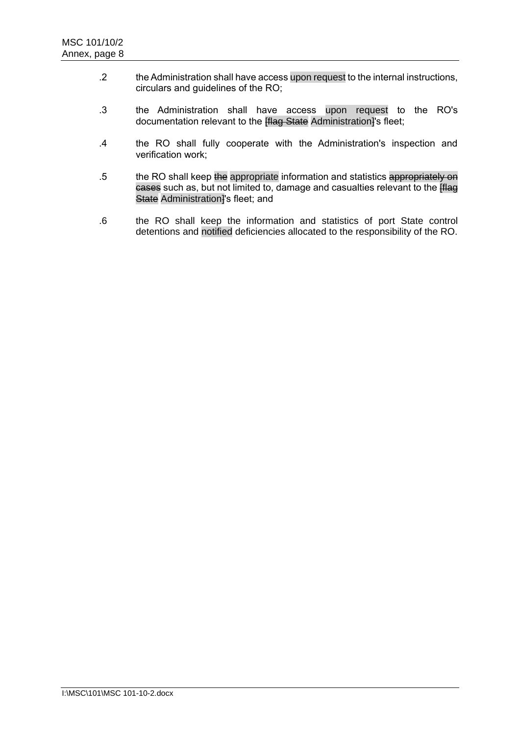- .2 the Administration shall have access upon request to the internal instructions, circulars and guidelines of the RO;
- .3 the Administration shall have access upon request to the RO's documentation relevant to the **[flag State** Administration]'s fleet;
- .4 the RO shall fully cooperate with the Administration's inspection and verification work;
- .5 the RO shall keep the appropriate information and statistics appropriately on cases such as, but not limited to, damage and casualties relevant to the **[flag**] State Administration<sup>y</sup>s fleet; and
- .6 the RO shall keep the information and statistics of port State control detentions and notified deficiencies allocated to the responsibility of the RO.